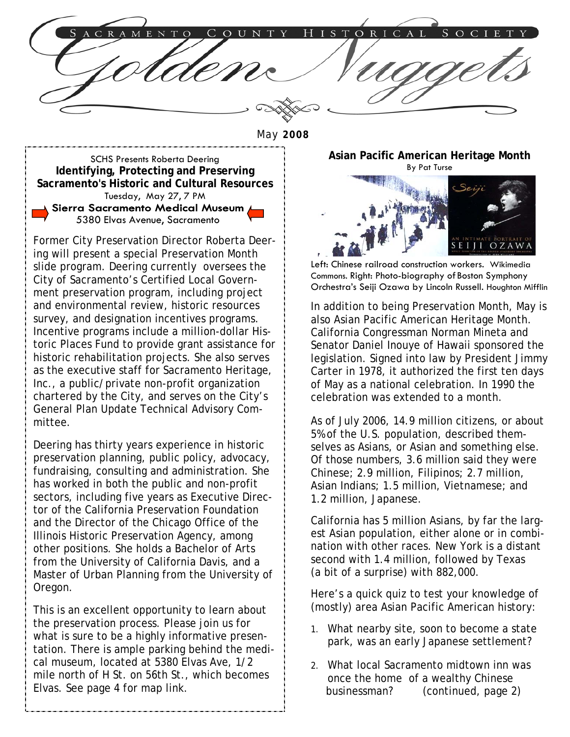ENTC  $\mathbf{R}$ 

May **2008** 

SCHS Presents Roberta Deering **Identifying, Protecting and Preserving Sacramento's Historic and Cultural Resources**  Tuesday, May 27, 7 PM Sierra Sacramento Medical Museum 5380 Elvas Avenue, Sacramento

Former City Preservation Director Roberta Deering will present a special Preservation Month slide program. Deering currently oversees the City of Sacramento's Certified Local Government preservation program, including project and environmental review, historic resources survey, and designation incentives programs. Incentive programs include a million-dollar Historic Places Fund to provide grant assistance for historic rehabilitation projects. She also serves as the executive staff for Sacramento Heritage, Inc., a public/private non-profit organization chartered by the City, and serves on the City's General Plan Update Technical Advisory Committee.

Deering has thirty years experience in historic preservation planning, public policy, advocacy, fundraising, consulting and administration. She has worked in both the public and non-profit sectors, including five years as Executive Director of the California Preservation Foundation and the Director of the Chicago Office of the Illinois Historic Preservation Agency, among other positions. She holds a Bachelor of Arts from the University of California Davis, and a Master of Urban Planning from the University of Oregon.

This is an excellent opportunity to learn about the preservation process. Please join us for what is sure to be a highly informative presentation. There is ample parking behind the medical museum, located at 5380 Elvas Ave, 1/2 mile north of H St. on 56th St., which becomes Elvas. See page 4 for map link.

**Asian Pacific American Heritage Month**  By Pat Turse



Left: Chinese railroad construction workers. Wikimedia Commons. Right: Photo-biography of Boston Symphony Orchestra's Seiji Ozawa by Lincoln Russell. Houghton Mifflin

In addition to being Preservation Month, May is also Asian Pacific American Heritage Month. California Congressman Norman Mineta and Senator Daniel Inouye of Hawaii sponsored the legislation. Signed into law by President Jimmy Carter in 1978, it authorized the first ten days of May as a national celebration. In 1990 the celebration was extended to a month.

As of July 2006, 14.9 million citizens, or about 5% of the U.S. population, described themselves as Asians, or Asian and something else. Of those numbers, 3.6 million said they were Chinese; 2.9 million, Filipinos; 2.7 million, Asian Indians; 1.5 million, Vietnamese; and 1.2 million, Japanese.

California has 5 million Asians, by far the largest Asian population, either alone or in combination with other races. New York is a distant second with 1.4 million, followed by Texas (a bit of a surprise) with 882,000.

Here's a quick quiz to test your knowledge of (mostly) area Asian Pacific American history:

- 1. What nearby site, soon to become a state park, was an early Japanese settlement?
- 2. What local Sacramento midtown inn was once the home of a wealthy Chinese businessman? (continued, page 2)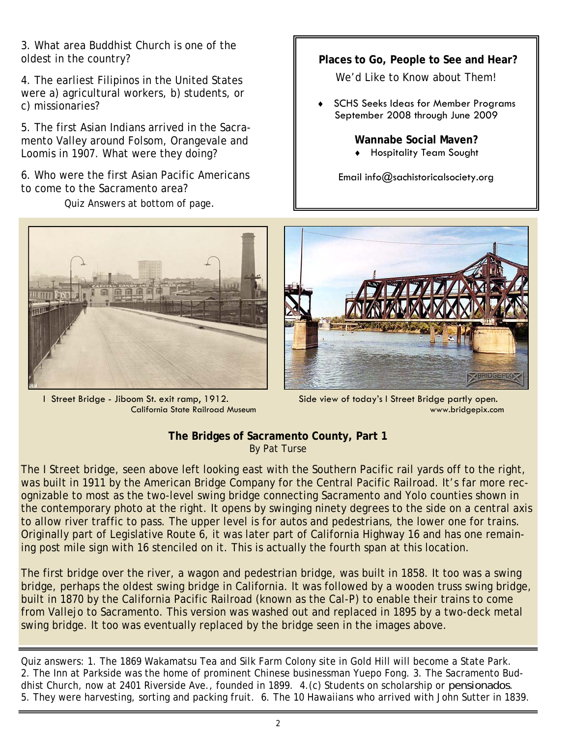3. What area Buddhist Church is one of the oldest in the country?

4. The earliest Filipinos in the United States were a) agricultural workers, b) students, or c) missionaries?

5. The first Asian Indians arrived in the Sacramento Valley around Folsom, Orangevale and Loomis in 1907. What were they doing?

6. Who were the first Asian Pacific Americans to come to the Sacramento area?

Quiz Answers at bottom of page.

 **Places to Go, People to See and Hear?** 

We'd Like to Know about Them!

SCHS Seeks Ideas for Member Programs September 2008 through June 2009

> **Wannabe Social Maven?**  ♦ Hospitality Team Sought

Email info@sachistoricalsociety.org



 I Street Bridge - Jiboom St. exit ramp, 1912. California State Railroad Museum



 Side view of today's I Street Bridge partly open. www.bridgepix.com

### **The Bridges of Sacramento County, Part 1**  By Pat Turse

The I Street bridge, seen above left looking east with the Southern Pacific rail yards off to the right, was built in 1911 by the American Bridge Company for the Central Pacific Railroad. It's far more recognizable to most as the two-level swing bridge connecting Sacramento and Yolo counties shown in the contemporary photo at the right. It opens by swinging ninety degrees to the side on a central axis to allow river traffic to pass. The upper level is for autos and pedestrians, the lower one for trains. Originally part of Legislative Route 6, it was later part of California Highway 16 and has one remaining post mile sign with 16 stenciled on it. This is actually the fourth span at this location.

The first bridge over the river, a wagon and pedestrian bridge, was built in 1858. It too was a swing bridge, perhaps the oldest swing bridge in California. It was followed by a wooden truss swing bridge, built in 1870 by the California Pacific Railroad (known as the Cal-P) to enable their trains to come from Vallejo to Sacramento. This version was washed out and replaced in 1895 by a two-deck metal swing bridge. It too was eventually replaced by the bridge seen in the images above.

Quiz answers: 1. The 1869 Wakamatsu Tea and Silk Farm Colony site in Gold Hill will become a State Park. 2. The Inn at Parkside was the home of prominent Chinese businessman Yuepo Fong. 3. The Sacramento Buddhist Church, now at 2401 Riverside Ave., founded in 1899. 4.(c) Students on scholarship or *pensionados*. 5. They were harvesting, sorting and packing fruit. 6. The 10 Hawaiians who arrived with John Sutter in 1839.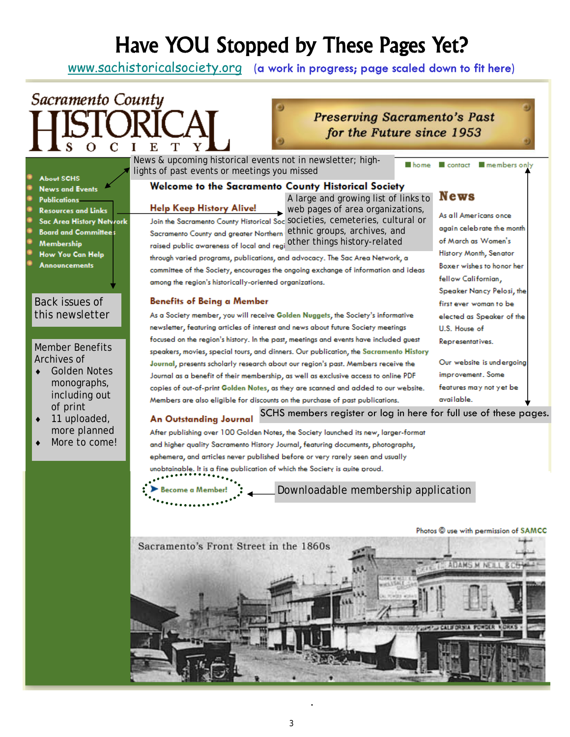# Have YOU Stopped by These Pages Yet?

www.sachistoricalsociety.org (a work in progress; page scaled down to fit here)

# Sacramento County **ORICAL**

## **Preserving Sacramento's Past** for the Future since 1953

| L J<br>U                                                                                                                                                                                         | Ľ                                                                                                                                                                                                                                                                                                                                                                                                                                                                                                                                                                                                                                                                                                                                                                                                                                                                                                                                                                                                                                                                                                                                                           |  |
|--------------------------------------------------------------------------------------------------------------------------------------------------------------------------------------------------|-------------------------------------------------------------------------------------------------------------------------------------------------------------------------------------------------------------------------------------------------------------------------------------------------------------------------------------------------------------------------------------------------------------------------------------------------------------------------------------------------------------------------------------------------------------------------------------------------------------------------------------------------------------------------------------------------------------------------------------------------------------------------------------------------------------------------------------------------------------------------------------------------------------------------------------------------------------------------------------------------------------------------------------------------------------------------------------------------------------------------------------------------------------|--|
| <b>About SCHS</b>                                                                                                                                                                                | News & upcoming historical events not in newsletter; high-<br>contact <b>III</b> members only<br>■ home<br>lights of past events or meetings you missed                                                                                                                                                                                                                                                                                                                                                                                                                                                                                                                                                                                                                                                                                                                                                                                                                                                                                                                                                                                                     |  |
| <b>News and Events</b><br><b>Publications</b><br><b>Resources and Links</b><br><b>Sac Area History Network</b><br><b>Board and Committees</b><br>Membership<br>How You Can Help<br>Annovncements | <b>Welcome to the Sacramento County Historical Society</b><br><b>News</b><br>A large and growing list of links to<br><b>Help Keep History Alive!</b><br>web pages of area organizations,<br>As all Americans once<br>Join the Sacramento County Historical Soc SOCIeties, cemeteries, cultural or<br>again celebrate the month<br>ethnic groups, archives, and<br>Sacramento County and greater Northern<br>other things history-related<br>of March as Women's<br>raised public awareness of local and regi<br>History Month, Senator<br>through varied programs, publications, and advocacy. The Sac Area Network, a<br>Boxer wishes to honor her<br>committee of the Society, encourages the ongoing exchange of information and ideas<br>fellow Californian,<br>among the region's historically-oriented organizations.<br>Speaker Nancy Pelosi, the                                                                                                                                                                                                                                                                                                    |  |
| Back issues of<br>this newsletter                                                                                                                                                                | <b>Benefits of Being a Member</b><br>first ever woman to be                                                                                                                                                                                                                                                                                                                                                                                                                                                                                                                                                                                                                                                                                                                                                                                                                                                                                                                                                                                                                                                                                                 |  |
|                                                                                                                                                                                                  | As a Society member, you will receive Golden Nuggets, the Society's informative<br>elected as Speaker of the                                                                                                                                                                                                                                                                                                                                                                                                                                                                                                                                                                                                                                                                                                                                                                                                                                                                                                                                                                                                                                                |  |
|                                                                                                                                                                                                  | newsletter, featuring articles of interest and news about future Society meetings<br>U.S. House of                                                                                                                                                                                                                                                                                                                                                                                                                                                                                                                                                                                                                                                                                                                                                                                                                                                                                                                                                                                                                                                          |  |
| <b>Member Benefits</b><br>Archives of<br><b>Golden Notes</b><br>monographs,<br>including out<br>of print<br>11 uploaded,<br>more planned<br>More to come!                                        | focused on the region's history. In the past, meetings and events have included guest<br>Representatives.<br>speakers, movies, special tours, and dinners. Our publication, the Sacramento History<br>Our website is undergoing<br>Journal, presents scholarly research about our region's past. Members receive the<br>improvement. Some<br>Journal as a benefit of their membership, as well as exclusive access to online PDF<br>features may not yet be<br>copies of out-of-print Golden Notes, as they are scanned and added to our website.<br>available.<br>Members are also eligible for discounts on the purchase of past publications.<br>SCHS members register or log in here for full use of these pages.<br><b>An Outstanding Journal</b><br>After publishing over 100 Golden Notes, the Society launched its new, larger-format<br>and higher quality Sacramento History Journal, featuring documents, photographs,<br>ephemera, and articles never published before or very rarely seen and usually<br>unobtainable. It is a fine publication of which the Society is auite proud.<br>Downloadable membership application<br>Become a Member |  |
|                                                                                                                                                                                                  | Photos C use with permission of SAMCC                                                                                                                                                                                                                                                                                                                                                                                                                                                                                                                                                                                                                                                                                                                                                                                                                                                                                                                                                                                                                                                                                                                       |  |
|                                                                                                                                                                                                  | Sacramento's Front Street in the 1860s<br><b>IDAMS M NETLL &amp; CO</b>                                                                                                                                                                                                                                                                                                                                                                                                                                                                                                                                                                                                                                                                                                                                                                                                                                                                                                                                                                                                                                                                                     |  |

.

3